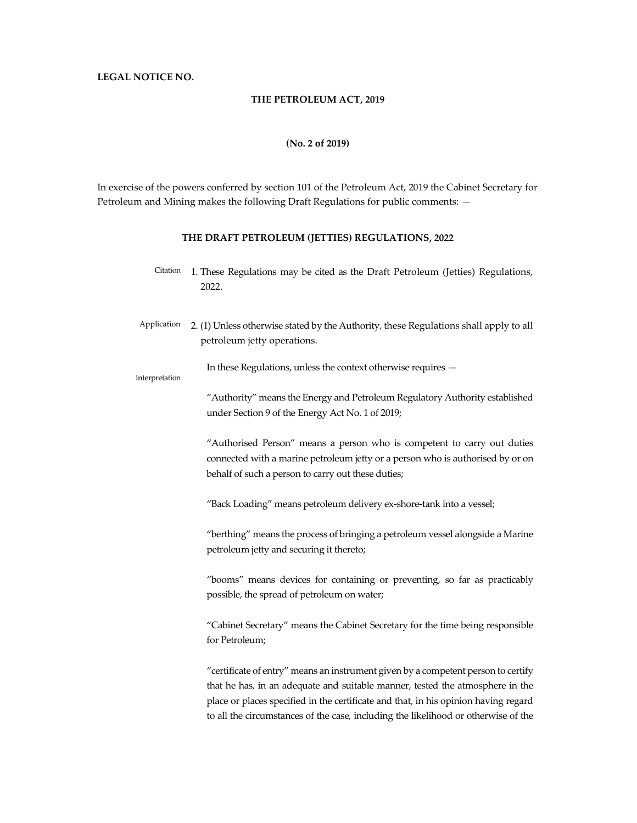### THE PETROLEUM ACT, 2019

### (No. 2 of 2019)

In exercise of the powers conferred by section 101 of the Petroleum Act, 2019 the Cabinet Secretary for Petroleum and Mining makes the following Draft Regulations for public comments: —

### THE DRAFT PETROLEUM (JETTIES) REGULATIONS, 2022

- Citation 1. These Regulations may be cited as the Draft Petroleum (Jetties) Regulations, 2022.
- Application 2. (1) Unless otherwise stated by the Authority, these Regulations shall apply to all petroleum jetty operations.

In these Regulations, unless the context otherwise requires —

#### Interpretation

"Authority" means the Energy and Petroleum Regulatory Authority established under Section 9 of the Energy Act No. 1 of 2019;

"Authorised Person" means a person who is competent to carry out duties connected with a marine petroleum jetty or a person who is authorised by or on behalf of such a person to carry out these duties;

"Back Loading" means petroleum delivery ex-shore-tank into a vessel;

"berthing" means the process of bringing a petroleum vessel alongside a Marine petroleum jetty and securing it thereto;

"booms" means devices for containing or preventing, so far as practicably possible, the spread of petroleum on water;

"Cabinet Secretary" means the Cabinet Secretary for the time being responsible for Petroleum;

"certificate of entry" means an instrument given by a competent person to certify that he has, in an adequate and suitable manner, tested the atmosphere in the place or places specified in the certificate and that, in his opinion having regard to all the circumstances of the case, including the likelihood or otherwise of the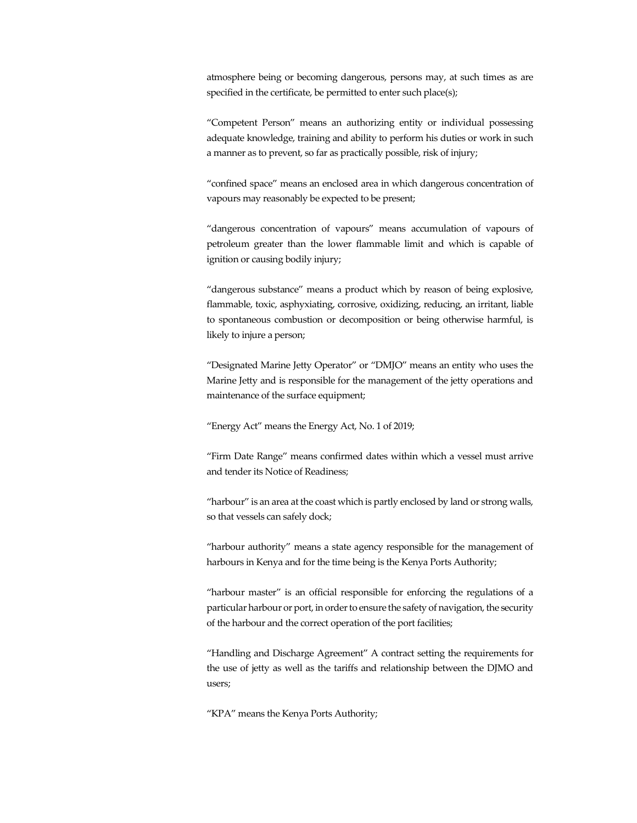atmosphere being or becoming dangerous, persons may, at such times as are specified in the certificate, be permitted to enter such place(s);

"Competent Person" means an authorizing entity or individual possessing adequate knowledge, training and ability to perform his duties or work in such a manner as to prevent, so far as practically possible, risk of injury;

"confined space" means an enclosed area in which dangerous concentration of vapours may reasonably be expected to be present;

"dangerous concentration of vapours" means accumulation of vapours of petroleum greater than the lower flammable limit and which is capable of ignition or causing bodily injury;

"dangerous substance" means a product which by reason of being explosive, flammable, toxic, asphyxiating, corrosive, oxidizing, reducing, an irritant, liable to spontaneous combustion or decomposition or being otherwise harmful, is likely to injure a person;

"Designated Marine Jetty Operator" or "DMJO" means an entity who uses the Marine Jetty and is responsible for the management of the jetty operations and maintenance of the surface equipment;

"Energy Act" means the Energy Act, No. 1 of 2019;

"Firm Date Range" means confirmed dates within which a vessel must arrive and tender its Notice of Readiness;

"harbour" is an area at the coast which is partly enclosed by land or strong walls, so that vessels can safely dock;

"harbour authority" means a state agency responsible for the management of harbours in Kenya and for the time being is the Kenya Ports Authority;

"harbour master" is an official responsible for enforcing the regulations of a particular harbour or port, in order to ensure the safety of navigation, the security of the harbour and the correct operation of the port facilities;

"Handling and Discharge Agreement" A contract setting the requirements for the use of jetty as well as the tariffs and relationship between the DJMO and users;

"KPA" means the Kenya Ports Authority;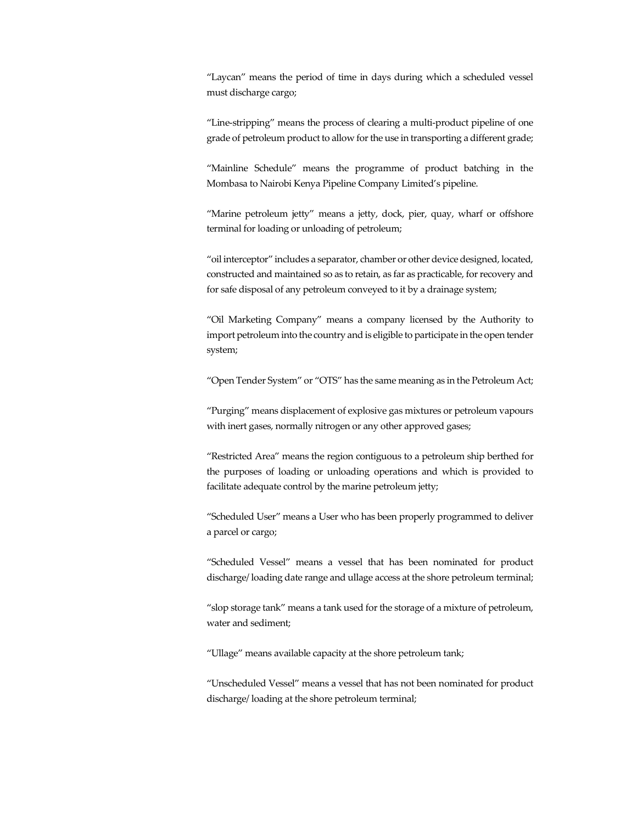"Laycan" means the period of time in days during which a scheduled vessel must discharge cargo;

"Line-stripping" means the process of clearing a multi-product pipeline of one grade of petroleum product to allow for the use in transporting a different grade;

"Mainline Schedule" means the programme of product batching in the Mombasa to Nairobi Kenya Pipeline Company Limited's pipeline.

"Marine petroleum jetty" means a jetty, dock, pier, quay, wharf or offshore terminal for loading or unloading of petroleum;

"oil interceptor" includes a separator, chamber or other device designed, located, constructed and maintained so as to retain, as far as practicable, for recovery and for safe disposal of any petroleum conveyed to it by a drainage system;

"Oil Marketing Company" means a company licensed by the Authority to import petroleum into the country and is eligible to participate in the open tender system;

"Open Tender System" or "OTS" has the same meaning as in the Petroleum Act;

"Purging" means displacement of explosive gas mixtures or petroleum vapours with inert gases, normally nitrogen or any other approved gases;

"Restricted Area" means the region contiguous to a petroleum ship berthed for the purposes of loading or unloading operations and which is provided to facilitate adequate control by the marine petroleum jetty;

"Scheduled User" means a User who has been properly programmed to deliver a parcel or cargo;

"Scheduled Vessel" means a vessel that has been nominated for product discharge/ loading date range and ullage access at the shore petroleum terminal;

"slop storage tank" means a tank used for the storage of a mixture of petroleum, water and sediment;

"Ullage" means available capacity at the shore petroleum tank;

"Unscheduled Vessel" means a vessel that has not been nominated for product discharge/ loading at the shore petroleum terminal;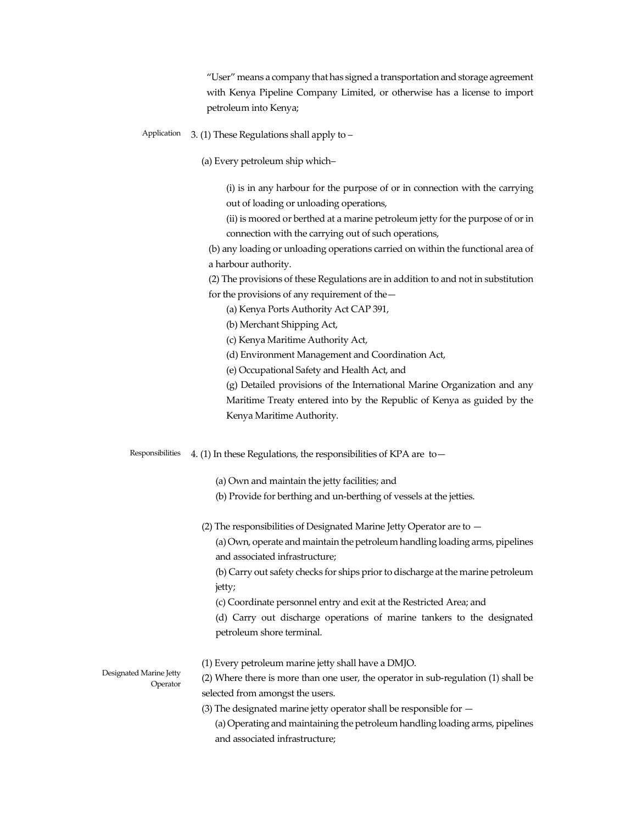"User" means a company that has signed a transportation and storage agreement with Kenya Pipeline Company Limited, or otherwise has a license to import petroleum into Kenya;

- Application 3. (1) These Regulations shall apply to
	- (a) Every petroleum ship which–

(i) is in any harbour for the purpose of or in connection with the carrying out of loading or unloading operations,

(ii) is moored or berthed at a marine petroleum jetty for the purpose of or in connection with the carrying out of such operations,

(b) any loading or unloading operations carried on within the functional area of a harbour authority.

(2) The provisions of these Regulations are in addition to and not in substitution for the provisions of any requirement of the—

- (a) Kenya Ports Authority Act CAP 391,
- (b) Merchant Shipping Act,
- (c) Kenya Maritime Authority Act,
- (d) Environment Management and Coordination Act,
- (e) Occupational Safety and Health Act, and

(g) Detailed provisions of the International Marine Organization and any Maritime Treaty entered into by the Republic of Kenya as guided by the Kenya Maritime Authority.

Responsibilities 4. (1) In these Regulations, the responsibilities of KPA are to—

(a) Own and maintain the jetty facilities; and

- (b) Provide for berthing and un-berthing of vessels at the jetties.
- (2) The responsibilities of Designated Marine Jetty Operator are to —

(a) Own, operate and maintain the petroleum handling loading arms, pipelines and associated infrastructure;

(b) Carry out safety checks for ships prior to discharge at the marine petroleum jetty;

(c) Coordinate personnel entry and exit at the Restricted Area; and

(d) Carry out discharge operations of marine tankers to the designated petroleum shore terminal.

(1) Every petroleum marine jetty shall have a DMJO.

Designated Marine Jetty Operator

- (2) Where there is more than one user, the operator in sub-regulation (1) shall be selected from amongst the users.
- (3) The designated marine jetty operator shall be responsible for —

(a) Operating and maintaining the petroleum handling loading arms, pipelines and associated infrastructure;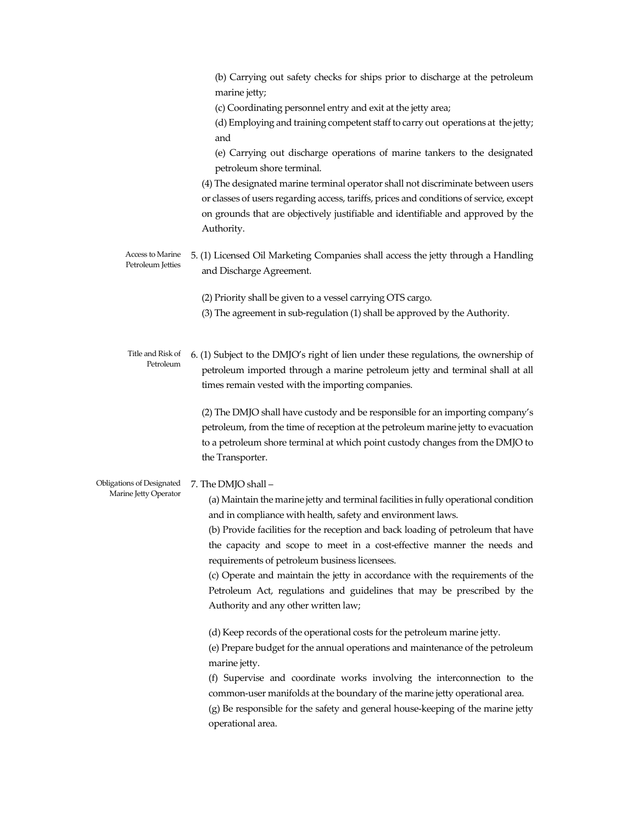(b) Carrying out safety checks for ships prior to discharge at the petroleum marine jetty;

(c) Coordinating personnel entry and exit at the jetty area;

(d) Employing and training competent staff to carry out operations at the jetty; and

(e) Carrying out discharge operations of marine tankers to the designated petroleum shore terminal.

(4) The designated marine terminal operator shall not discriminate between users or classes of users regarding access, tariffs, prices and conditions of service, except on grounds that are objectively justifiable and identifiable and approved by the Authority.

Access to Marine Petroleum Jetties 5. (1) Licensed Oil Marketing Companies shall access the jetty through a Handling and Discharge Agreement.

(2) Priority shall be given to a vessel carrying OTS cargo.

- (3) The agreement in sub-regulation (1) shall be approved by the Authority.
- Title and Risk of Petroleum 6. (1) Subject to the DMJO's right of lien under these regulations, the ownership of petroleum imported through a marine petroleum jetty and terminal shall at all times remain vested with the importing companies.

(2) The DMJO shall have custody and be responsible for an importing company's petroleum, from the time of reception at the petroleum marine jetty to evacuation to a petroleum shore terminal at which point custody changes from the DMJO to the Transporter.

Obligations of Designated Marine Jetty Operator 7. The DMJO shall –

(a) Maintain the marine jetty and terminal facilities in fully operational condition and in compliance with health, safety and environment laws.

(b) Provide facilities for the reception and back loading of petroleum that have the capacity and scope to meet in a cost-effective manner the needs and requirements of petroleum business licensees.

(c) Operate and maintain the jetty in accordance with the requirements of the Petroleum Act, regulations and guidelines that may be prescribed by the Authority and any other written law;

(d) Keep records of the operational costs for the petroleum marine jetty.

(e) Prepare budget for the annual operations and maintenance of the petroleum marine jetty.

(f) Supervise and coordinate works involving the interconnection to the common-user manifolds at the boundary of the marine jetty operational area. (g) Be responsible for the safety and general house-keeping of the marine jetty operational area.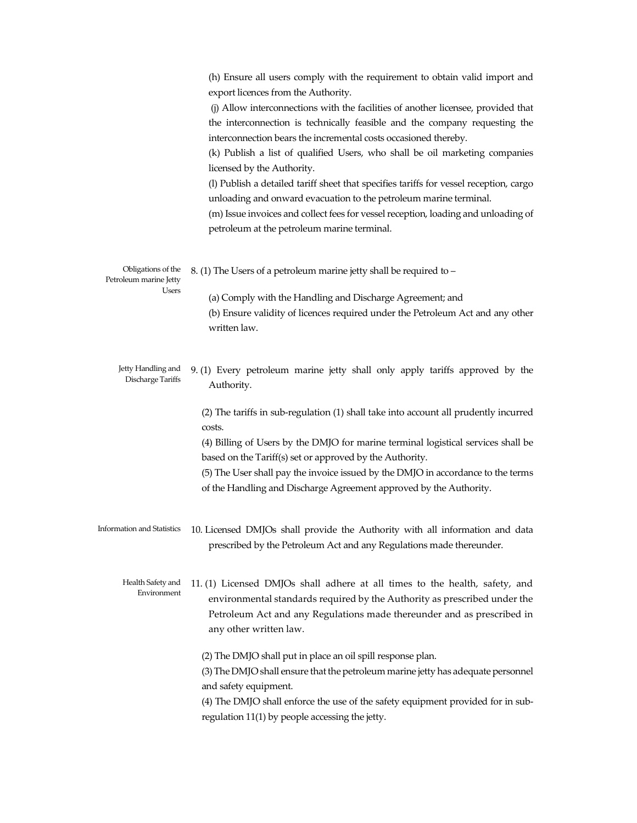|                                                              | (h) Ensure all users comply with the requirement to obtain valid import and<br>export licences from the Authority.<br>(j) Allow interconnections with the facilities of another licensee, provided that<br>the interconnection is technically feasible and the company requesting the<br>interconnection bears the incremental costs occasioned thereby.<br>(k) Publish a list of qualified Users, who shall be oil marketing companies<br>licensed by the Authority.<br>(l) Publish a detailed tariff sheet that specifies tariffs for vessel reception, cargo<br>unloading and onward evacuation to the petroleum marine terminal.<br>(m) Issue invoices and collect fees for vessel reception, loading and unloading of<br>petroleum at the petroleum marine terminal. |
|--------------------------------------------------------------|---------------------------------------------------------------------------------------------------------------------------------------------------------------------------------------------------------------------------------------------------------------------------------------------------------------------------------------------------------------------------------------------------------------------------------------------------------------------------------------------------------------------------------------------------------------------------------------------------------------------------------------------------------------------------------------------------------------------------------------------------------------------------|
| Obligations of the<br>Petroleum marine Jetty<br><b>Users</b> | 8. (1) The Users of a petroleum marine jetty shall be required to -<br>(a) Comply with the Handling and Discharge Agreement; and<br>(b) Ensure validity of licences required under the Petroleum Act and any other<br>written law.                                                                                                                                                                                                                                                                                                                                                                                                                                                                                                                                        |
| Jetty Handling and<br>Discharge Tariffs                      | 9. (1) Every petroleum marine jetty shall only apply tariffs approved by the<br>Authority.<br>(2) The tariffs in sub-regulation (1) shall take into account all prudently incurred<br>costs.<br>(4) Billing of Users by the DMJO for marine terminal logistical services shall be<br>based on the Tariff(s) set or approved by the Authority.<br>(5) The User shall pay the invoice issued by the DMJO in accordance to the terms<br>of the Handling and Discharge Agreement approved by the Authority.                                                                                                                                                                                                                                                                   |
|                                                              | Information and Statistics 10. Licensed DMJOs shall provide the Authority with all information and data<br>prescribed by the Petroleum Act and any Regulations made thereunder.                                                                                                                                                                                                                                                                                                                                                                                                                                                                                                                                                                                           |
| Health Safety and<br>Environment                             | 11. (1) Licensed DMJOs shall adhere at all times to the health, safety, and<br>environmental standards required by the Authority as prescribed under the<br>Petroleum Act and any Regulations made thereunder and as prescribed in<br>any other written law.<br>(2) The DMJO shall put in place an oil spill response plan.<br>(3) The DMJO shall ensure that the petroleum marine jetty has adequate personnel<br>and safety equipment.<br>(4) The DMJO shall enforce the use of the safety equipment provided for in sub-<br>regulation 11(1) by people accessing the jetty.                                                                                                                                                                                            |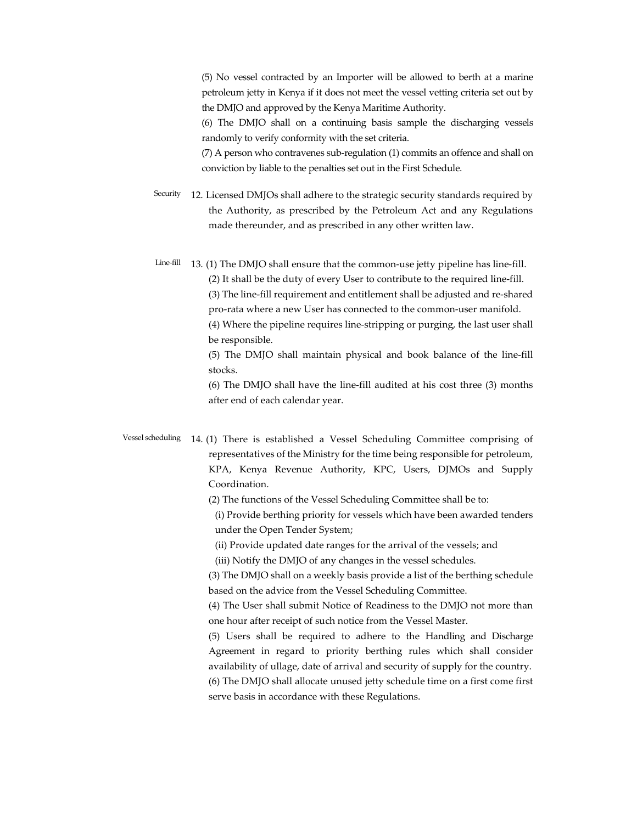(5) No vessel contracted by an Importer will be allowed to berth at a marine petroleum jetty in Kenya if it does not meet the vessel vetting criteria set out by the DMJO and approved by the Kenya Maritime Authority.

(6) The DMJO shall on a continuing basis sample the discharging vessels randomly to verify conformity with the set criteria.

(7) A person who contravenes sub-regulation (1) commits an offence and shall on conviction by liable to the penalties set out in the First Schedule.

Security 12. Licensed DMJOs shall adhere to the strategic security standards required by the Authority, as prescribed by the Petroleum Act and any Regulations made thereunder, and as prescribed in any other written law.

Line-fill 13. (1) The DMJO shall ensure that the common-use jetty pipeline has line-fill. (2) It shall be the duty of every User to contribute to the required line-fill. (3) The line-fill requirement and entitlement shall be adjusted and re-shared pro-rata where a new User has connected to the common-user manifold. (4) Where the pipeline requires line-stripping or purging, the last user shall be responsible.

(5) The DMJO shall maintain physical and book balance of the line-fill stocks.

(6) The DMJO shall have the line-fill audited at his cost three (3) months after end of each calendar year.

Vessel scheduling 14. (1) There is established a Vessel Scheduling Committee comprising of representatives of the Ministry for the time being responsible for petroleum, KPA, Kenya Revenue Authority, KPC, Users, DJMOs and Supply Coordination.

(2) The functions of the Vessel Scheduling Committee shall be to:

(i) Provide berthing priority for vessels which have been awarded tenders under the Open Tender System;

(ii) Provide updated date ranges for the arrival of the vessels; and

(iii) Notify the DMJO of any changes in the vessel schedules.

(3) The DMJO shall on a weekly basis provide a list of the berthing schedule based on the advice from the Vessel Scheduling Committee.

(4) The User shall submit Notice of Readiness to the DMJO not more than one hour after receipt of such notice from the Vessel Master.

(5) Users shall be required to adhere to the Handling and Discharge Agreement in regard to priority berthing rules which shall consider availability of ullage, date of arrival and security of supply for the country. (6) The DMJO shall allocate unused jetty schedule time on a first come first serve basis in accordance with these Regulations.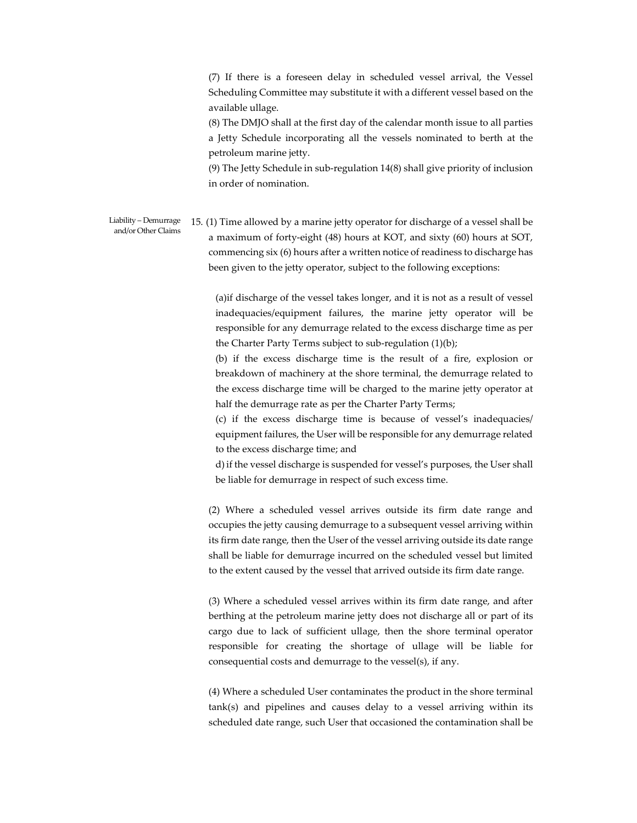(7) If there is a foreseen delay in scheduled vessel arrival, the Vessel Scheduling Committee may substitute it with a different vessel based on the available ullage.

(8) The DMJO shall at the first day of the calendar month issue to all parties a Jetty Schedule incorporating all the vessels nominated to berth at the petroleum marine jetty.

(9) The Jetty Schedule in sub-regulation 14(8) shall give priority of inclusion in order of nomination.

Liability – Demurrage and/or Other Claims 15. (1) Time allowed by a marine jetty operator for discharge of a vessel shall be a maximum of forty-eight (48) hours at KOT, and sixty (60) hours at SOT, commencing six (6) hours after a written notice of readiness to discharge has been given to the jetty operator, subject to the following exceptions:

> (a)if discharge of the vessel takes longer, and it is not as a result of vessel inadequacies/equipment failures, the marine jetty operator will be responsible for any demurrage related to the excess discharge time as per the Charter Party Terms subject to sub-regulation (1)(b);

> (b) if the excess discharge time is the result of a fire, explosion or breakdown of machinery at the shore terminal, the demurrage related to the excess discharge time will be charged to the marine jetty operator at half the demurrage rate as per the Charter Party Terms;

> (c) if the excess discharge time is because of vessel's inadequacies/ equipment failures, the User will be responsible for any demurrage related to the excess discharge time; and

> d) if the vessel discharge is suspended for vessel's purposes, the User shall be liable for demurrage in respect of such excess time.

(2) Where a scheduled vessel arrives outside its firm date range and occupies the jetty causing demurrage to a subsequent vessel arriving within its firm date range, then the User of the vessel arriving outside its date range shall be liable for demurrage incurred on the scheduled vessel but limited to the extent caused by the vessel that arrived outside its firm date range.

(3) Where a scheduled vessel arrives within its firm date range, and after berthing at the petroleum marine jetty does not discharge all or part of its cargo due to lack of sufficient ullage, then the shore terminal operator responsible for creating the shortage of ullage will be liable for consequential costs and demurrage to the vessel(s), if any.

(4) Where a scheduled User contaminates the product in the shore terminal tank(s) and pipelines and causes delay to a vessel arriving within its scheduled date range, such User that occasioned the contamination shall be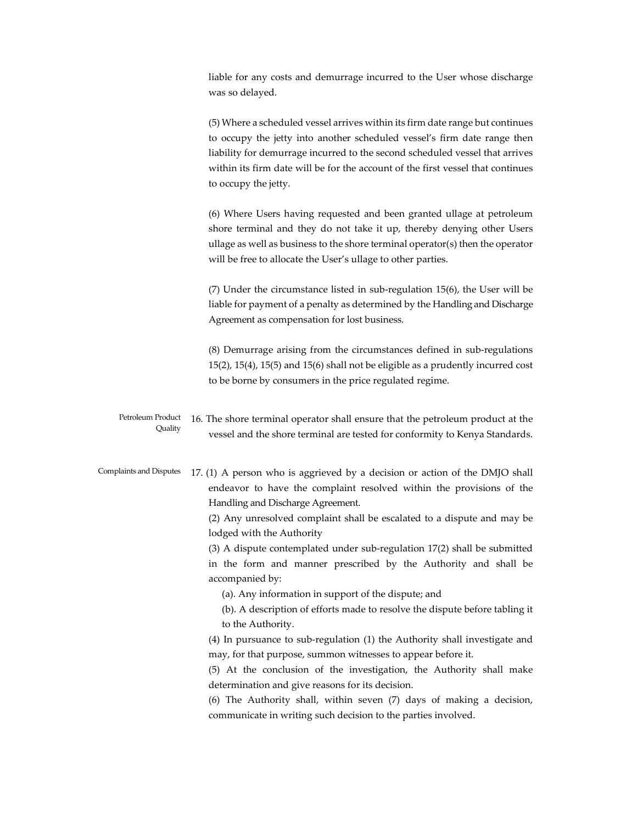liable for any costs and demurrage incurred to the User whose discharge was so delayed.

(5) Where a scheduled vessel arrives within its firm date range but continues to occupy the jetty into another scheduled vessel's firm date range then liability for demurrage incurred to the second scheduled vessel that arrives within its firm date will be for the account of the first vessel that continues to occupy the jetty.

(6) Where Users having requested and been granted ullage at petroleum shore terminal and they do not take it up, thereby denying other Users ullage as well as business to the shore terminal operator(s) then the operator will be free to allocate the User's ullage to other parties.

(7) Under the circumstance listed in sub-regulation 15(6), the User will be liable for payment of a penalty as determined by the Handling and Discharge Agreement as compensation for lost business.

(8) Demurrage arising from the circumstances defined in sub-regulations 15(2), 15(4), 15(5) and 15(6) shall not be eligible as a prudently incurred cost to be borne by consumers in the price regulated regime.

Petroleum Product Quality 16. The shore terminal operator shall ensure that the petroleum product at the vessel and the shore terminal are tested for conformity to Kenya Standards.

Complaints and Disputes 17. (1) A person who is aggrieved by a decision or action of the DMJO shall endeavor to have the complaint resolved within the provisions of the Handling and Discharge Agreement.

> (2) Any unresolved complaint shall be escalated to a dispute and may be lodged with the Authority

> (3) A dispute contemplated under sub-regulation 17(2) shall be submitted in the form and manner prescribed by the Authority and shall be accompanied by:

(a). Any information in support of the dispute; and

(b). A description of efforts made to resolve the dispute before tabling it to the Authority.

(4) In pursuance to sub-regulation (1) the Authority shall investigate and may, for that purpose, summon witnesses to appear before it.

(5) At the conclusion of the investigation, the Authority shall make determination and give reasons for its decision.

(6) The Authority shall, within seven (7) days of making a decision, communicate in writing such decision to the parties involved.